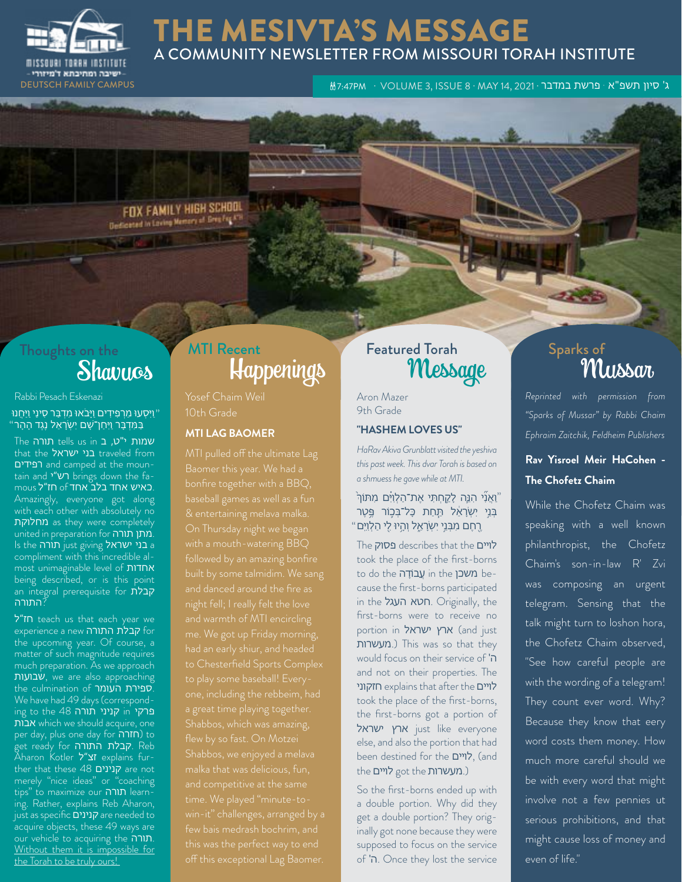

## THE MESIVTA'S MESSAGE A COMMUNITY NEWSLETTER FROM MISSOURI TORAH INSTITUTE

ג' סיון תשפ"א · פרשת במדבר · 41, 2021 או 3, ISSUE 8 · MAY 14, 2021 · DEUTSCH FAMILY CAMPUS ג'

FOX FAMILY HIGH SCHOOL Designted in Loving Memory of Bree-Fax AT

# Thoughts on the

Rabbi Pesach Eskenazi

#### וַיִּסְעוּ מֵרְפִידִים וַיָּבֹאוּ מִדְבַּר סִינַי וַיַּחֲנוּ יַ וַיִּסְעוּ מֵרְפִידִים וַיָּבֹאוּ מִדְבַּר סִינַי וַיַּחֲנוּ "<br>בַּמִּדְבָּר וַיִּחַן־שָׁם יִשְׂרָאֵל נֶגֶד הָהָר

שמות י"ט, ב tells us in תורה that the בני ישראל traveled from רפידים and camped at the mountain and רש״י brings down the famous **ל חז**״ל mous מאחד בלב Amazingly, everyone got along with each other with absolutely no as they were completely united in preparation for תורה מתן. Is the בני ישראל just giving תורה compliment with this incredible almost unimaginable level of אחדות being described, or is this point an integral prerequisite for קבלת ?התורה

ל"חז teach us that each year we experience a new קבלת התורה the upcoming year. Of course, a matter of such magnitude requires much preparation. As we approach שבועות, we are also approaching the culmination of העומר ספירת. We have had 49 days (corresponding to the 48 תורה קניני in פרקי אבות which we should acquire, one per day, plus one day for חזרה) to get ready for התורה קבלת. Reb Aharon Kotler **זצ"ל e**xplains further that these 48 קנינים are not merely "nice ideas" or "coaching tips" to maximize our תורה learning. Rather, explains Reb Aharon, just as specific קנינים are needed to acquire objects, these 49 ways are our vehicle to acquiring the תורה. Without them it is impossible for the Torah to be truly ours!

## Shavuos Happenings MTI Recent **Featured Torah**

Yosef Chaim Weil 10th Grade

#### **MTI LAG BAOMER**

with a mouth-watering BBQ me. We got up Friday morning, Shabbos, which was amazing, off this exceptional Lag Baomer.

Aron Mazer 9th Grade

#### **"HASHEM LOVES US"**

*HaRav Akiva Grunblatt visited the yeshiva this past week. This dvar Torah is based on a shmuess he gave while at MTI.*

#### ֿוַאֲנִי הָנֵּה לָקֵחְתִּי אֶת־הַלְו<u>ִי</u>ּים מִתּוֹךְ ּבְּנֵי יִשְׂרָאֵל תַּחַת כָּל־בִּכֶּוֹר פֵּטֶר ֶרֶחֶם מִבְּנֵי יִשְׂרָאֵל וְהָיוּ לֻי הַלְוֵיִּם "

The פסוק describes that the לויים took the place of the first-borns to do the משכן in the נמעכן cause the first-borns participated in the העגל חטא. Originally, the first-borns were to receive no portion in ארץ ישראל (and just מעשרות.) This was so that they would focus on their service of 'ה and not on their properties. The חזקוני explains that after the לויים took the place of the first-borns, the first-borns got a portion of ישראל just like everyone else, and also the portion that had been destined for the לויים, (and the לויים got the מעשרות.)

So the first-borns ended up with a double portion. Why did they get a double portion? They originally got none because they were supposed to focus on the service of 'ה. Once they lost the service

# red Torah Sparks of Sparks of Mussard

*Reprinted with permission from "Sparks of Mussar" by Rabbi Chaim Ephraim Zaitchik, Feldheim Publishers*

### **Rav Yisroel Meir HaCohen - The Chofetz Chaim**

While the Chofetz Chaim was speaking with a well known philanthropist, the Chofetz Chaim's son-in-law R' Zvi was composing an urgent telegram. Sensing that the talk might turn to loshon hora, the Chofetz Chaim observed, "See how careful people are with the wording of a telegram! They count ever word. Why? Because they know that eery word costs them money. How much more careful should we be with every word that might involve not a few pennies ut serious prohibitions, and that might cause loss of money and even of life."